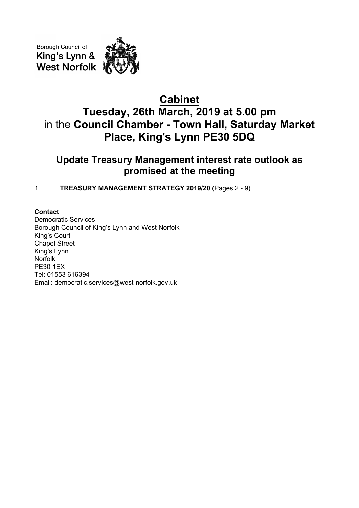Borough Council of King's Lynn & **West Norfolk** 

# **Cabinet Tuesday, 26th March, 2019 at 5.00 pm** in the **Council Chamber - Town Hall, Saturday Market Place, King's Lynn PE30 5DQ**

# **Update Treasury Management interest rate outlook as promised at the meeting**

1. **TREASURY MANAGEMENT STRATEGY 2019/20** (Pages 2 - 9)

# **Contact**

Democratic Services Borough Council of King's Lynn and West Norfolk King's Court Chapel Street King's Lynn Norfolk PE30 1EX Tel: 01553 616394 Email: democratic.services@west-norfolk.gov.uk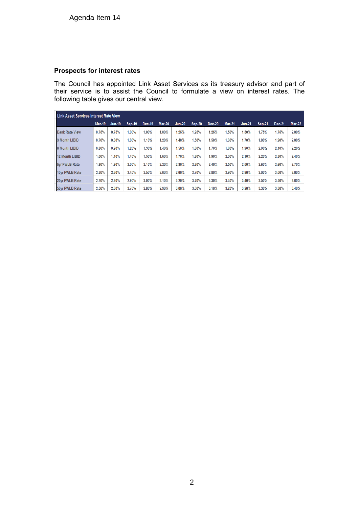# **Prospects for interest rates**

The Council has appointed Link Asset Services as its treasury advisor and part of their service is to assist the Council to formulate a view on interest rates. The following table gives our central view.

| Link Asset Services Interest Rate View |               |               |               |        |               |               |               |               |               |               |               |        |               |
|----------------------------------------|---------------|---------------|---------------|--------|---------------|---------------|---------------|---------------|---------------|---------------|---------------|--------|---------------|
|                                        | <b>Mar-19</b> | <b>Jun-19</b> | <b>Sep-19</b> | Dec-19 | <b>Mar-20</b> | <b>Jun-20</b> | <b>Sep-20</b> | <b>Dec-20</b> | <b>Mar-21</b> | <b>Jun-21</b> | <b>Sep-21</b> | Dec-21 | <b>Mar-22</b> |
| <b>Bank Rate View</b>                  | 0.75%         | 0.75%         | 1.00%         | 1.00%  | $.00\%$       | 1.25%         | 1.25%         | 1.25%         | 1.50%         | 1.50%         | 1.75%         | 1.75%  | 2.00%         |
| 3 Month LIBID                          | 0.70%         | 0.80%         | 1.00%         | 1.10%  | .20%          | 1.40%         | 1.50%         | 1.50%         | 1.60%         | 1.70%         | 1.80%         | 1.90%  | 2.00%         |
| <b>6 Month LIBID</b>                   | 0.80%         | 0.90%         | 1.20%         | 1.30%  | 1.40%         | 1.50%         | 1.60%         | 1.70%         | 1.80%         | 1.90%         | 2.00%         | 2.10%  | 2.20%         |
| <b>12 Month LIBID</b>                  | 1.00%         | 1.10%         | 1.40%         | 1.50%  | .60%          | 1.70%         | 1.80%         | 1.90%         | 2.00%         | 2.10%         | 2.20%         | 2.30%  | 2.40%         |
| 5yr PWLB Rate                          | $1.80\%$      | 1.90%         | 2.00%         | 2.10%  | 2.20%         | 2.30%         | 2.30%         | 2.40%         | 2.50%         | 2.50%         | 2.60%         | 2.60%  | 2.70%         |
| 10yr PWLB Rate                         | 2.20%         | 2.30%         | 2.40%         | 2.50%  | 2.60%         | 2.60%         | 2.70%         | 2.80%         | 2.90%         | 2.90%         | 3.00%         | 3.00%  | 3.00%         |
| 25yr PWLB Rate                         | 2.70%         | 2.80%         | 2.90%         | 3.00%  | 3.10%         | 3.20%         | 3.20%         | 3.30%         | 3.40%         | 3.40%         | 3.50%         | 3.50%  | 3.60%         |
| 50yr PWLB Rate                         | 2.50%         | 2.60%         | 2.70%         | 2.80%  | 2.90%         | 3.00%         | 3.00%         | 3.10%         | 3.20%         | 3.20%         | 3.30%         | 3.30%  | 3.40%         |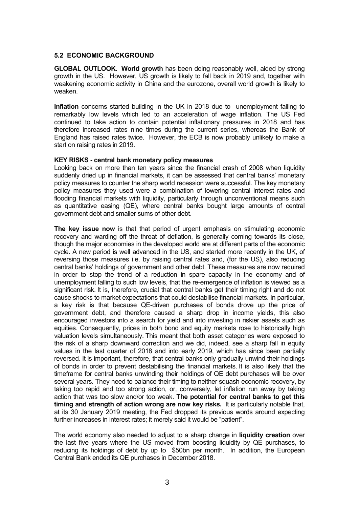### **5.2 ECONOMIC BACKGROUND**

**GLOBAL OUTLOOK. World growth** has been doing reasonably well, aided by strong growth in the US. However, US growth is likely to fall back in 2019 and, together with weakening economic activity in China and the eurozone, overall world growth is likely to weaken.

**Inflation** concerns started building in the UK in 2018 due to unemployment falling to remarkably low levels which led to an acceleration of wage inflation. The US Fed continued to take action to contain potential inflationary pressures in 2018 and has therefore increased rates nine times during the current series, whereas the Bank of England has raised rates twice. However, the ECB is now probably unlikely to make a start on raising rates in 2019.

## **KEY RISKS - central bank monetary policy measures**

Looking back on more than ten years since the financial crash of 2008 when liquidity suddenly dried up in financial markets, it can be assessed that central banks' monetary policy measures to counter the sharp world recession were successful. The key monetary policy measures they used were a combination of lowering central interest rates and flooding financial markets with liquidity, particularly through unconventional means such as quantitative easing (QE), where central banks bought large amounts of central government debt and smaller sums of other debt.

**The key issue now** is that that period of urgent emphasis on stimulating economic recovery and warding off the threat of deflation, is generally coming towards its close, though the major economies in the developed world are at different parts of the economic cycle. A new period is well advanced in the US, and started more recently in the UK, of reversing those measures i.e. by raising central rates and, (for the US), also reducing central banks' holdings of government and other debt. These measures are now required in order to stop the trend of a reduction in spare capacity in the economy and of unemployment falling to such low levels, that the re-emergence of inflation is viewed as a significant risk. It is, therefore, crucial that central banks get their timing right and do not cause shocks to market expectations that could destabilise financial markets. In particular, a key risk is that because QE-driven purchases of bonds drove up the price of government debt, and therefore caused a sharp drop in income yields, this also encouraged investors into a search for yield and into investing in riskier assets such as equities. Consequently, prices in both bond and equity markets rose to historically high valuation levels simultaneously. This meant that both asset categories were exposed to the risk of a sharp downward correction and we did, indeed, see a sharp fall in equity values in the last quarter of 2018 and into early 2019, which has since been partially reversed. It is important, therefore, that central banks only gradually unwind their holdings of bonds in order to prevent destabilising the financial markets. It is also likely that the timeframe for central banks unwinding their holdings of QE debt purchases will be over several years. They need to balance their timing to neither squash economic recovery, by taking too rapid and too strong action, or, conversely, let inflation run away by taking action that was too slow and/or too weak. **The potential for central banks to get this timing and strength of action wrong are now key risks.** It is particularly notable that, at its 30 January 2019 meeting, the Fed dropped its previous words around expecting further increases in interest rates; it merely said it would be "patient".

The world economy also needed to adjust to a sharp change in **liquidity creation** over the last five years where the US moved from boosting liquidity by QE purchases, to reducing its holdings of debt by up to \$50bn per month. In addition, the European Central Bank ended its QE purchases in December 2018.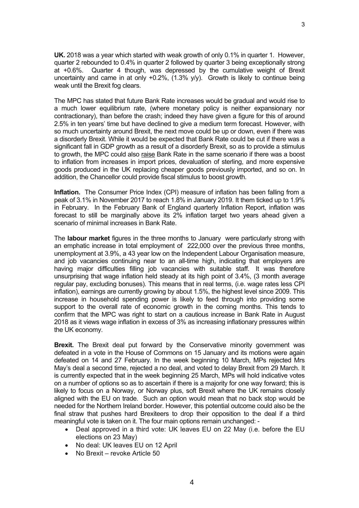**UK.** 2018 was a year which started with weak growth of only 0.1% in quarter 1. However, quarter 2 rebounded to 0.4% in quarter 2 followed by quarter 3 being exceptionally strong at +0.6%. Quarter 4 though, was depressed by the cumulative weight of Brexit uncertainty and came in at only +0.2%, (1.3% y/y). Growth is likely to continue being weak until the Brexit fog clears.

3

The MPC has stated that future Bank Rate increases would be gradual and would rise to a much lower equilibrium rate, (where monetary policy is neither expansionary nor contractionary), than before the crash; indeed they have given a figure for this of around 2.5% in ten years' time but have declined to give a medium term forecast. However, with so much uncertainty around Brexit, the next move could be up or down, even if there was a disorderly Brexit. While it would be expected that Bank Rate could be cut if there was a significant fall in GDP growth as a result of a disorderly Brexit, so as to provide a stimulus to growth, the MPC could also raise Bank Rate in the same scenario if there was a boost to inflation from increases in import prices, devaluation of sterling, and more expensive goods produced in the UK replacing cheaper goods previously imported, and so on. In addition, the Chancellor could provide fiscal stimulus to boost growth.

**Inflation.** The Consumer Price Index (CPI) measure of inflation has been falling from a peak of 3.1% in November 2017 to reach 1.8% in January 2019. It them ticked up to 1.9% in February. In the February Bank of England quarterly Inflation Report, inflation was forecast to still be marginally above its 2% inflation target two years ahead given a scenario of minimal increases in Bank Rate.

The **labour market** figures in the three months to January were particularly strong with an emphatic increase in total employment of 222,000 over the previous three months, unemployment at 3.9%, a 43 year low on the Independent Labour Organisation measure, and job vacancies continuing near to an all-time high, indicating that employers are having major difficulties filling job vacancies with suitable staff. It was therefore unsurprising that wage inflation held steady at its high point of 3.4%, (3 month average regular pay, excluding bonuses). This means that in real terms, (i.e. wage rates less CPI inflation), earnings are currently growing by about 1.5%, the highest level since 2009. This increase in household spending power is likely to feed through into providing some support to the overall rate of economic growth in the coming months. This tends to confirm that the MPC was right to start on a cautious increase in Bank Rate in August 2018 as it views wage inflation in excess of 3% as increasing inflationary pressures within the UK economy.

**Brexit.** The Brexit deal put forward by the Conservative minority government was defeated in a vote in the House of Commons on 15 January and its motions were again defeated on 14 and 27 February. In the week beginning 10 March, MPs rejected Mrs May's deal a second time, rejected a no deal, and voted to delay Brexit from 29 March. It is currently expected that in the week beginning 25 March, MPs will hold indicative votes on a number of options so as to ascertain if there is a majority for one way forward; this is likely to focus on a Norway, or Norway plus, soft Brexit where the UK remains closely aligned with the EU on trade. Such an option would mean that no back stop would be needed for the Northern Ireland border. However, this potential outcome could also be the final straw that pushes hard Brexiteers to drop their opposition to the deal if a third meaningful vote is taken on it. The four main options remain unchanged: -

- Deal approved in a third vote: UK leaves EU on 22 May (i.e. before the EU elections on 23 May)
- No deal: UK leaves EU on 12 April
- No Brexit revoke Article 50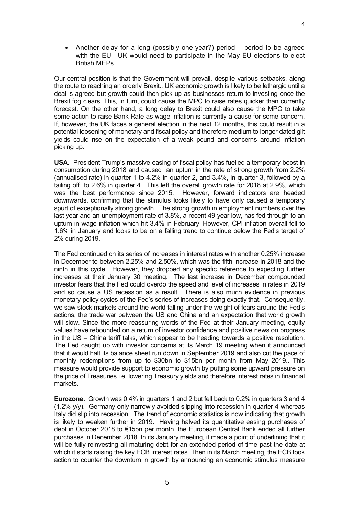Another delay for a long (possibly one-year?) period – period to be agreed with the EU. UK would need to participate in the May EU elections to elect British MEPs.

Our central position is that the Government will prevail, despite various setbacks, along the route to reaching an orderly Brexit.. UK economic growth is likely to be lethargic until a deal is agreed but growth could then pick up as businesses return to investing once the Brexit fog clears. This, in turn, could cause the MPC to raise rates quicker than currently forecast. On the other hand, a long delay to Brexit could also cause the MPC to take some action to raise Bank Rate as wage inflation is currently a cause for some concern. If, however, the UK faces a general election in the next 12 months, this could result in a potential loosening of monetary and fiscal policy and therefore medium to longer dated gilt yields could rise on the expectation of a weak pound and concerns around inflation picking up.

**USA.** President Trump's massive easing of fiscal policy has fuelled a temporary boost in consumption during 2018 and caused an upturn in the rate of strong growth from 2.2% (annualised rate) in quarter 1 to 4.2% in quarter 2, and 3.4%, in quarter 3, followed by a tailing off to 2.6% in quarter 4. This left the overall growth rate for 2018 at 2.9%, which was the best performance since 2015. However, forward indicators are headed downwards, confirming that the stimulus looks likely to have only caused a temporary spurt of exceptionally strong growth. The strong growth in employment numbers over the last year and an unemployment rate of 3.8%, a recent 49 year low, has fed through to an upturn in wage inflation which hit 3.4% in February. However, CPI inflation overall fell to 1.6% in January and looks to be on a falling trend to continue below the Fed's target of 2% during 2019.

The Fed continued on its series of increases in interest rates with another 0.25% increase in December to between 2.25% and 2.50%, which was the fifth increase in 2018 and the ninth in this cycle. However, they dropped any specific reference to expecting further increases at their January 30 meeting. The last increase in December compounded investor fears that the Fed could overdo the speed and level of increases in rates in 2019 and so cause a US recession as a result. There is also much evidence in previous monetary policy cycles of the Fed's series of increases doing exactly that. Consequently, we saw stock markets around the world falling under the weight of fears around the Fed's actions, the trade war between the US and China and an expectation that world growth will slow. Since the more reassuring words of the Fed at their January meeting, equity values have rebounded on a return of investor confidence and positive news on progress in the US – China tariff talks, which appear to be heading towards a positive resolution. The Fed caught up with investor concerns at its March 19 meeting when it announced that it would halt its balance sheet run down in September 2019 and also cut the pace of monthly redemptions from up to \$30bn to \$15bn per month from May 2019.. This measure would provide support to economic growth by putting some upward pressure on the price of Treasuries i.e. lowering Treasury yields and therefore interest rates in financial markets.

**Eurozone.** Growth was 0.4% in quarters 1 and 2 but fell back to 0.2% in quarters 3 and 4 (1.2% y/y). Germany only narrowly avoided slipping into recession in quarter 4 whereas Italy did slip into recession. The trend of economic statistics is now indicating that growth is likely to weaken further in 2019. Having halved its quantitative easing purchases of debt in October 2018 to €15bn per month, the European Central Bank ended all further purchases in December 2018. In its January meeting, it made a point of underlining that it will be fully reinvesting all maturing debt for an extended period of time past the date at which it starts raising the key ECB interest rates. Then in its March meeting, the ECB took action to counter the downturn in growth by announcing an economic stimulus measure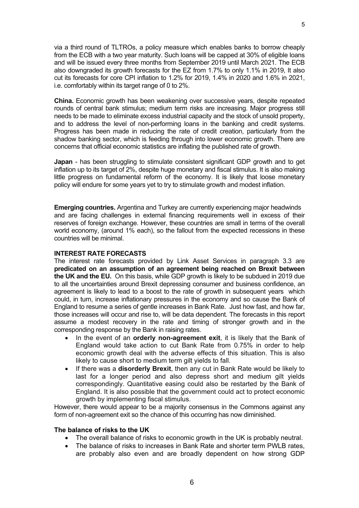via a third round of TLTROs, a policy measure which enables banks to borrow cheaply from the ECB with a two year maturity. Such loans will be capped at 30% of eligible loans and will be issued every three months from September 2019 until March 2021. The ECB also downgraded its growth forecasts for the EZ from 1.7% to only 1.1% in 2019, It also cut its forecasts for core CPI inflation to 1.2% for 2019, 1.4% in 2020 and 1.6% in 2021, i.e. comfortably within its target range of 0 to 2%.

**China.** Economic growth has been weakening over successive years, despite repeated rounds of central bank stimulus; medium term risks are increasing. Major progress still needs to be made to eliminate excess industrial capacity and the stock of unsold property, and to address the level of non-performing loans in the banking and credit systems. Progress has been made in reducing the rate of credit creation, particularly from the shadow banking sector, which is feeding through into lower economic growth. There are concerns that official economic statistics are inflating the published rate of growth.

**Japan** - has been struggling to stimulate consistent significant GDP growth and to get inflation up to its target of 2%, despite huge monetary and fiscal stimulus. It is also making little progress on fundamental reform of the economy. It is likely that loose monetary policy will endure for some years yet to try to stimulate growth and modest inflation.

**Emerging countries.** Argentina and Turkey are currently experiencing major headwinds and are facing challenges in external financing requirements well in excess of their reserves of foreign exchange. However, these countries are small in terms of the overall world economy, (around 1% each), so the fallout from the expected recessions in these countries will be minimal.

#### **INTEREST RATE FORECASTS**

The interest rate forecasts provided by Link Asset Services in paragraph 3.3 are **predicated on an assumption of an agreement being reached on Brexit between the UK and the EU.** On this basis, while GDP growth is likely to be subdued in 2019 due to all the uncertainties around Brexit depressing consumer and business confidence, an agreement is likely to lead to a boost to the rate of growth in subsequent years which could, in turn, increase inflationary pressures in the economy and so cause the Bank of England to resume a series of gentle increases in Bank Rate. Just how fast, and how far, those increases will occur and rise to, will be data dependent. The forecasts in this report assume a modest recovery in the rate and timing of stronger growth and in the corresponding response by the Bank in raising rates.

- In the event of an **orderly non-agreement exit**, it is likely that the Bank of England would take action to cut Bank Rate from 0.75% in order to help economic growth deal with the adverse effects of this situation. This is also likely to cause short to medium term gilt yields to fall.
- If there was a **disorderly Brexit**, then any cut in Bank Rate would be likely to last for a longer period and also depress short and medium gilt yields correspondingly. Quantitative easing could also be restarted by the Bank of England. It is also possible that the government could act to protect economic growth by implementing fiscal stimulus.

However, there would appear to be a majority consensus in the Commons against any form of non-agreement exit so the chance of this occurring has now diminished.

#### **The balance of risks to the UK**

- The overall balance of risks to economic growth in the UK is probably neutral.
- The balance of risks to increases in Bank Rate and shorter term PWLB rates, are probably also even and are broadly dependent on how strong GDP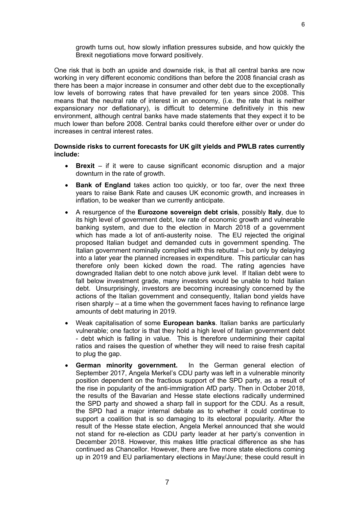growth turns out, how slowly inflation pressures subside, and how quickly the Brexit negotiations move forward positively.

One risk that is both an upside and downside risk, is that all central banks are now working in very different economic conditions than before the 2008 financial crash as there has been a major increase in consumer and other debt due to the exceptionally low levels of borrowing rates that have prevailed for ten years since 2008. This means that the neutral rate of interest in an economy, (i.e. the rate that is neither expansionary nor deflationary), is difficult to determine definitively in this new environment, although central banks have made statements that they expect it to be much lower than before 2008. Central banks could therefore either over or under do increases in central interest rates.

### **Downside risks to current forecasts for UK gilt yields and PWLB rates currently include:**

- **Brexit** if it were to cause significant economic disruption and a major downturn in the rate of growth.
- **Bank of England** takes action too quickly, or too far, over the next three years to raise Bank Rate and causes UK economic growth, and increases in inflation, to be weaker than we currently anticipate.
- A resurgence of the **Eurozone sovereign debt crisis**, possibly **Italy**, due to its high level of government debt, low rate of economic growth and vulnerable banking system, and due to the election in March 2018 of a government which has made a lot of anti-austerity noise. The EU rejected the original proposed Italian budget and demanded cuts in government spending. The Italian government nominally complied with this rebuttal – but only by delaying into a later year the planned increases in expenditure. This particular can has therefore only been kicked down the road. The rating agencies have downgraded Italian debt to one notch above junk level. If Italian debt were to fall below investment grade, many investors would be unable to hold Italian debt. Unsurprisingly, investors are becoming increasingly concerned by the actions of the Italian government and consequently, Italian bond yields have risen sharply – at a time when the government faces having to refinance large amounts of debt maturing in 2019.
- Weak capitalisation of some **European banks**. Italian banks are particularly vulnerable; one factor is that they hold a high level of Italian government debt - debt which is falling in value. This is therefore undermining their capital ratios and raises the question of whether they will need to raise fresh capital to plug the gap.
- **German minority government.** In the German general election of September 2017, Angela Merkel's CDU party was left in a vulnerable minority position dependent on the fractious support of the SPD party, as a result of the rise in popularity of the anti-immigration AfD party. Then in October 2018, the results of the Bavarian and Hesse state elections radically undermined the SPD party and showed a sharp fall in support for the CDU. As a result, the SPD had a major internal debate as to whether it could continue to support a coalition that is so damaging to its electoral popularity. After the result of the Hesse state election, Angela Merkel announced that she would not stand for re-election as CDU party leader at her party's convention in December 2018. However, this makes little practical difference as she has continued as Chancellor. However, there are five more state elections coming up in 2019 and EU parliamentary elections in May/June; these could result in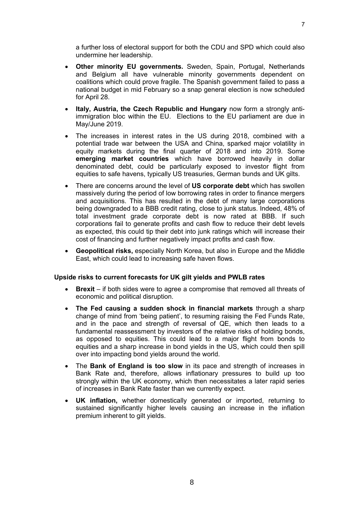- **Other minority EU governments.** Sweden, Spain, Portugal, Netherlands and Belgium all have vulnerable minority governments dependent on coalitions which could prove fragile. The Spanish government failed to pass a national budget in mid February so a snap general election is now scheduled for April 28.
- **Italy, Austria, the Czech Republic and Hungary** now form a strongly antiimmigration bloc within the EU. Elections to the EU parliament are due in May/June 2019.
- The increases in interest rates in the US during 2018, combined with a potential trade war between the USA and China, sparked major volatility in equity markets during the final quarter of 2018 and into 2019. Some **emerging market countries** which have borrowed heavily in dollar denominated debt, could be particularly exposed to investor flight from equities to safe havens, typically US treasuries, German bunds and UK gilts.
- There are concerns around the level of **US corporate debt** which has swollen massively during the period of low borrowing rates in order to finance mergers and acquisitions. This has resulted in the debt of many large corporations being downgraded to a BBB credit rating, close to junk status. Indeed, 48% of total investment grade corporate debt is now rated at BBB. If such corporations fail to generate profits and cash flow to reduce their debt levels as expected, this could tip their debt into junk ratings which will increase their cost of financing and further negatively impact profits and cash flow.
- **Geopolitical risks,** especially North Korea, but also in Europe and the Middle East, which could lead to increasing safe haven flows.

# **Upside risks to current forecasts for UK gilt yields and PWLB rates**

- **Brexit** if both sides were to agree a compromise that removed all threats of economic and political disruption.
- **The Fed causing a sudden shock in financial markets** through a sharp change of mind from 'being patient', to resuming raising the Fed Funds Rate, and in the pace and strength of reversal of QE, which then leads to a fundamental reassessment by investors of the relative risks of holding bonds, as opposed to equities. This could lead to a major flight from bonds to equities and a sharp increase in bond yields in the US, which could then spill over into impacting bond yields around the world.
- The **Bank of England is too slow** in its pace and strength of increases in Bank Rate and, therefore, allows inflationary pressures to build up too strongly within the UK economy, which then necessitates a later rapid series of increases in Bank Rate faster than we currently expect.
- **UK inflation,** whether domestically generated or imported, returning to sustained significantly higher levels causing an increase in the inflation premium inherent to gilt yields.